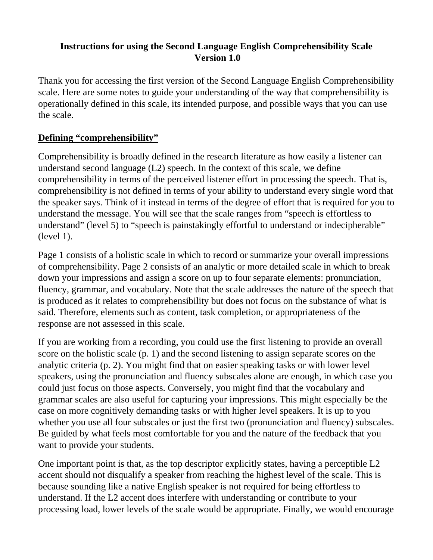#### **Instructions for using the Second Language English Comprehensibility Scale Version 1.0**

Thank you for accessing the first version of the Second Language English Comprehensibility scale. Here are some notes to guide your understanding of the way that comprehensibility is operationally defined in this scale, its intended purpose, and possible ways that you can use the scale.

#### **Defining "comprehensibility"**

Comprehensibility is broadly defined in the research literature as how easily a listener can understand second language (L2) speech. In the context of this scale, we define comprehensibility in terms of the perceived listener effort in processing the speech. That is, comprehensibility is not defined in terms of your ability to understand every single word that the speaker says. Think of it instead in terms of the degree of effort that is required for you to understand the message. You will see that the scale ranges from "speech is effortless to understand" (level 5) to "speech is painstakingly effortful to understand or indecipherable" (level 1).

Page 1 consists of a holistic scale in which to record or summarize your overall impressions of comprehensibility. Page 2 consists of an analytic or more detailed scale in which to break down your impressions and assign a score on up to four separate elements: pronunciation, fluency, grammar, and vocabulary. Note that the scale addresses the nature of the speech that is produced as it relates to comprehensibility but does not focus on the substance of what is said. Therefore, elements such as content, task completion, or appropriateness of the response are not assessed in this scale.

If you are working from a recording, you could use the first listening to provide an overall score on the holistic scale (p. 1) and the second listening to assign separate scores on the analytic criteria (p. 2). You might find that on easier speaking tasks or with lower level speakers, using the pronunciation and fluency subscales alone are enough, in which case you could just focus on those aspects. Conversely, you might find that the vocabulary and grammar scales are also useful for capturing your impressions. This might especially be the case on more cognitively demanding tasks or with higher level speakers. It is up to you whether you use all four subscales or just the first two (pronunciation and fluency) subscales. Be guided by what feels most comfortable for you and the nature of the feedback that you want to provide your students.

One important point is that, as the top descriptor explicitly states, having a perceptible L2 accent should not disqualify a speaker from reaching the highest level of the scale. This is because sounding like a native English speaker is not required for being effortless to understand. If the L2 accent does interfere with understanding or contribute to your processing load, lower levels of the scale would be appropriate. Finally, we would encourage